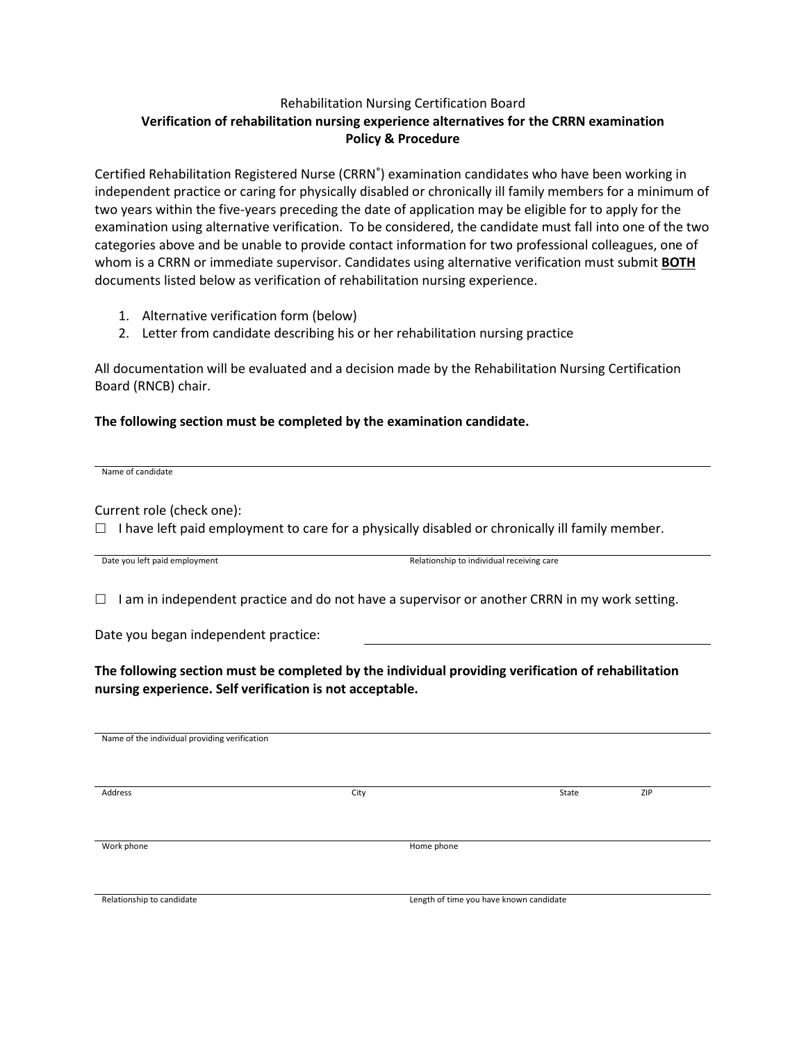## Rehabilitation Nursing Certification Board **Verification of rehabilitation nursing experience alternatives for the CRRN examination Policy & Procedure**

Certified Rehabilitation Registered Nurse (CRRN<sup>®</sup>) examination candidates who have been working in independent practice or caring for physically disabled or chronically ill family members for a minimum of two years within the five-years preceding the date of application may be eligible for to apply for the examination using alternative verification. To be considered, the candidate must fall into one of the two categories above and be unable to provide contact information for two professional colleagues, one of whom is a CRRN or immediate supervisor. Candidates using alternative verification must submit **BOTH** documents listed below as verification of rehabilitation nursing experience.

- 1. Alternative verification form (below)
- 2. Letter from candidate describing his or her rehabilitation nursing practice

All documentation will be evaluated and a decision made by the Rehabilitation Nursing Certification Board (RNCB) chair.

## **The following section must be completed by the examination candidate.**

Name of candidate

Current role (check one):

 $\Box$  I have left paid employment to care for a physically disabled or chronically ill family member.

Date you left paid employment and the state of the Relationship to individual receiving care

 $\Box$  I am in independent practice and do not have a supervisor or another CRRN in my work setting.

Date you began independent practice:

**The following section must be completed by the individual providing verification of rehabilitation nursing experience. Self verification is not acceptable.**

Name of the individual providing verification

Address City State ZIP

Work phone **Home phone** 

Relationship to candidate **Length of time you have known candidate** Length of time you have known candidate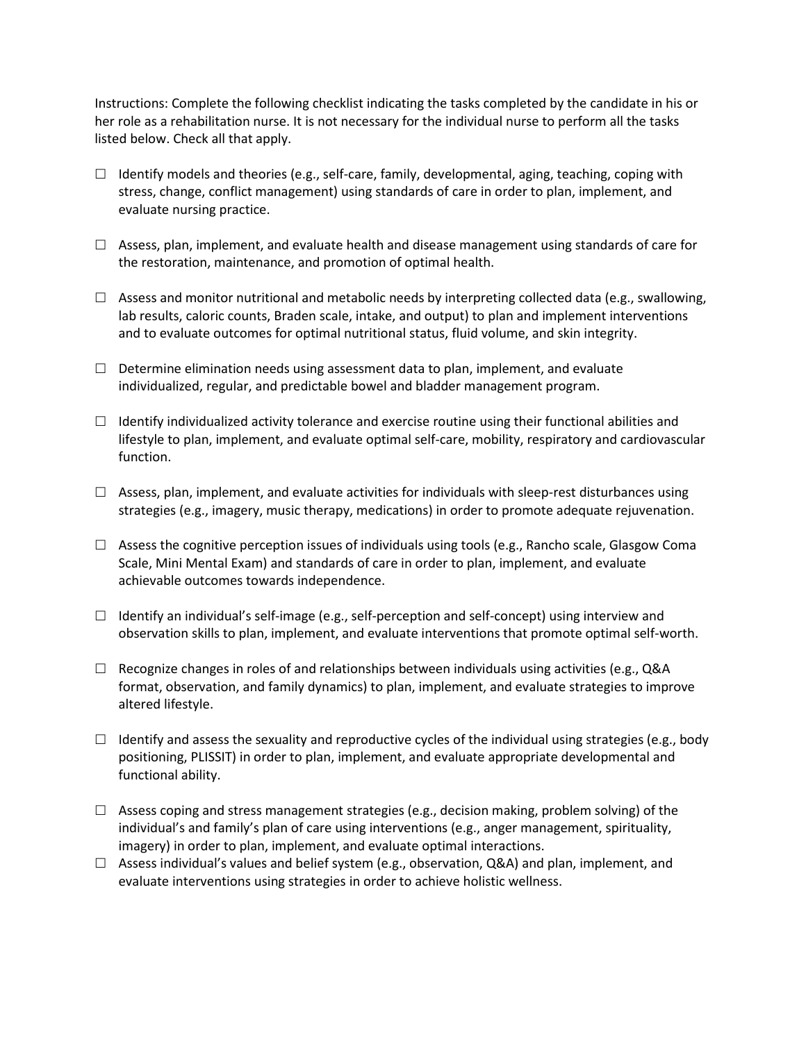Instructions: Complete the following checklist indicating the tasks completed by the candidate in his or her role as a rehabilitation nurse. It is not necessary for the individual nurse to perform all the tasks listed below. Check all that apply.

- $\Box$  Identify models and theories (e.g., self-care, family, developmental, aging, teaching, coping with stress, change, conflict management) using standards of care in order to plan, implement, and evaluate nursing practice.
- $\Box$  Assess, plan, implement, and evaluate health and disease management using standards of care for the restoration, maintenance, and promotion of optimal health.
- $\Box$  Assess and monitor nutritional and metabolic needs by interpreting collected data (e.g., swallowing, lab results, caloric counts, Braden scale, intake, and output) to plan and implement interventions and to evaluate outcomes for optimal nutritional status, fluid volume, and skin integrity.
- $\Box$  Determine elimination needs using assessment data to plan, implement, and evaluate individualized, regular, and predictable bowel and bladder management program.
- $\Box$  Identify individualized activity tolerance and exercise routine using their functional abilities and lifestyle to plan, implement, and evaluate optimal self-care, mobility, respiratory and cardiovascular function.
- $\Box$  Assess, plan, implement, and evaluate activities for individuals with sleep-rest disturbances using strategies (e.g., imagery, music therapy, medications) in order to promote adequate rejuvenation.
- $\Box$  Assess the cognitive perception issues of individuals using tools (e.g., Rancho scale, Glasgow Coma Scale, Mini Mental Exam) and standards of care in order to plan, implement, and evaluate achievable outcomes towards independence.
- $\Box$  Identify an individual's self-image (e.g., self-perception and self-concept) using interview and observation skills to plan, implement, and evaluate interventions that promote optimal self-worth.
- $\Box$  Recognize changes in roles of and relationships between individuals using activities (e.g., Q&A format, observation, and family dynamics) to plan, implement, and evaluate strategies to improve altered lifestyle.
- $\Box$  Identify and assess the sexuality and reproductive cycles of the individual using strategies (e.g., body positioning, PLISSIT) in order to plan, implement, and evaluate appropriate developmental and functional ability.
- $\Box$  Assess coping and stress management strategies (e.g., decision making, problem solving) of the individual's and family's plan of care using interventions (e.g., anger management, spirituality, imagery) in order to plan, implement, and evaluate optimal interactions.
- $\Box$  Assess individual's values and belief system (e.g., observation, Q&A) and plan, implement, and evaluate interventions using strategies in order to achieve holistic wellness.